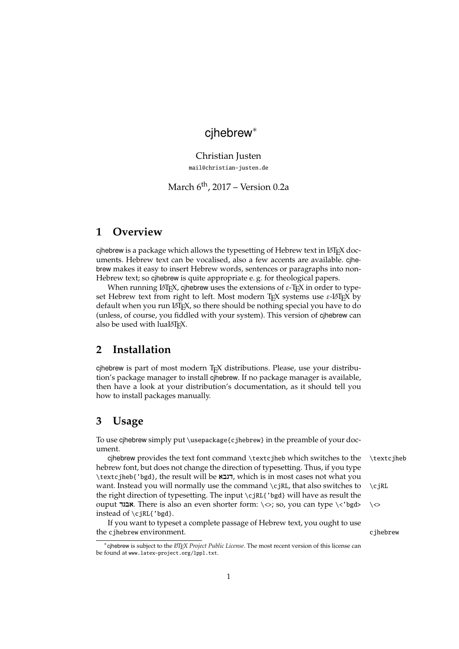# cjhebrew<sup>∗</sup>

Christian Justen [mail@christian-justen.de](mailto:mail@christian-justen.de)

March  $6<sup>th</sup>$ , 2017 – Version 0.2a

### **1 Overview**

cjhebrew is a package which allows the typesetting of Hebrew text in LATEX documents. Hebrew text can be vocalised, also a few accents are available. cjhebrew makes it easy to insert Hebrew words, sentences or paragraphs into non-Hebrew text; so cjhebrew is quite appropriate e. g. for theological papers.

When running LAT<sub>E</sub>X, cjhebrew uses the extensions of *ε*-T<sub>E</sub>X in order to typeset Hebrew text from right to left. Most modern T<sub>E</sub>X systems use ε-LAT<sub>E</sub>X by default when you run LATEX, so there should be nothing special you have to do (unless, of course, you fiddled with your system). This version of cjhebrew can also be used with luaLATEX.

## **2 Installation**

cjhebrew is part of most modern T<sub>E</sub>X distributions. Please, use your distribution's package manager to install cjhebrew. If no package manager is available, then have a look at your distribution's documentation, as it should tell you how to install packages manually.

## **3 Usage**

To use cjhebrew simply put \usepackage{cjhebrew} in the preamble of your document.

cjhebrew provides the text font command \textcjheb which switches to the \textcjheb hebrew font, but does not change the direction of typesetting. Thus, if you type \textcjheb{'bgd}, the result will be דגבא, which is in most cases not what you want. Instead you will normally use the command  $\cosh$ , that also switches to  $\cosh$ the right direction of typesetting. The input \cjRL{'bgd} will have as result the ouput **אבגד.** There is also an even shorter form: \<>; so, you can type \<'bgd> \<> instead of \cjRL{'bgd}.

If you want to typeset a complete passage of Hebrew text, you ought to use the cjhebrew environment. Change is a control of the cjhebrew change of the cjhebrew change of the control of the change of the change of the change of the change of the change of the change of the change of the change of

<sup>∗</sup> cjhebrew is subject to the *LATEX Project Public License*. The most recent version of this license can be found at [www.latex-project.org/lppl.txt](http://www.latex-project.org/lppl.txt).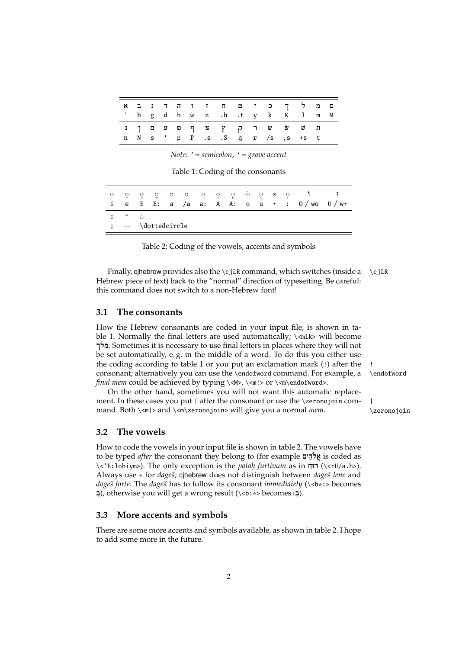|  |  |  |  |  | ם מלך כי ט ח ז ו ה ד ג ב א<br>' b g d h w z .h .t y k K l m M  |  |  |
|--|--|--|--|--|----------------------------------------------------------------|--|--|
|  |  |  |  |  | ת שׁ ש ר ק ץ צ ף פ ע ס ן נ<br>n N s ' p P .s .S q r /s ,s +s t |  |  |

Note:  $'$  = semicolon,  $'$  = grave accent

<span id="page-1-0"></span>Table 1: Coding of the consonants

| - 9<br>$\mathbf{1}$ | -9   | 그 있는          | ÷. | - 호 | 그 그 친 사 |  |  | 육 : 우리 유민 |  |  | ାର ହୋଇଥାଏ ହ |  | e E E: a /a a: A A: o u * : 0/wo U/w* |  |
|---------------------|------|---------------|----|-----|---------|--|--|-----------|--|--|-------------|--|---------------------------------------|--|
|                     | -    | $\sim$        |    |     |         |  |  |           |  |  |             |  |                                       |  |
|                     | $--$ | \dottedcircle |    |     |         |  |  |           |  |  |             |  |                                       |  |

<span id="page-1-1"></span>Table 2: Coding of the vowels, accents and symbols

Finally, cjhebrew provides also the \cjLR command, which switches (inside a  $\c{if}$ Hebrew piece of text) back to the "normal" direction of typesetting. Be careful: this command does not switch to a non-Hebrew font!

#### $3.1$ The consonants

How the Hebrew consonants are coded in your input file, is shown in table 1. Normally the final letters are used automatically; \<mlk> will become מלך. Sometimes it is necessary to use final letters in places where they will not be set automatically, e.g. in the middle of a word. To do this you either use the coding according to table 1 or you put an exclamation mark (!) after the consonant; alternatively you can use the \endofword command. For example, a final mem could be achieved by typing \<M>, \<m!> or \<m\endofword>.

On the other hand, sometimes you will not want this automatic replacement. In these cases you put | after the consonant or use the \zeronojoin command. Both  $\langle m \rangle$  and  $\langle m \rangle$  zeronojoin> will give you a normal *mem*.

#### $3.2$ The vowels

How to code the vowels in your input file is shown in table 2. The vowels have to be typed *after* the consonant they belong to (for example אֱלֹהִים is coded as <<E:1ohiym>). The only exception is the *patah furtivum* as in רוּח (/<rU/a.h>). Always use \* for *dageš*; cjhebrew does not distinguish between *dageš lene* and dageš forte. The dageš has to follow its consonant immediately  $(\cdot **b**$  :> becomes  $\Box$ ), otherwise you will get a wrong result (\ <b: \*> becomes  $\Box$ ).

#### More accents and symbols  $3.3$

There are some more accents and symbols available, as shown in table 2. I hope to add some more in the future.

\endofword

 $\overline{\phantom{a}}$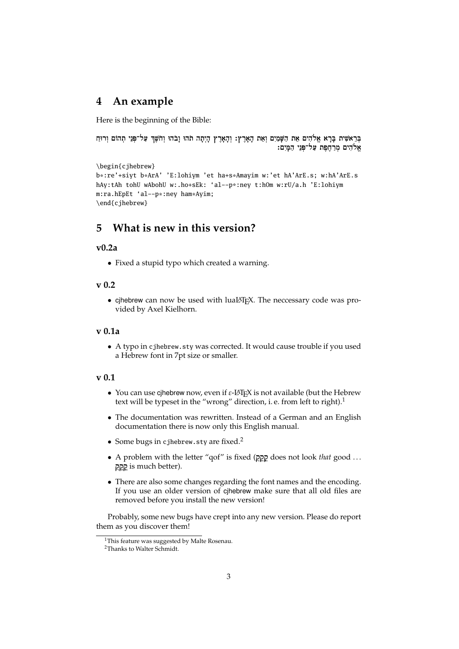### **4 An example**

Here is the beginning of the Bible:

```
בְּרֵאשִׁית בָּרָא אֱלֹהִים אֵת הַשָּׁמַיִם וְאֵת הָאָרֶץ: וְהָאָרֶץ הָיִתָה תֹהוּ וָבֹהוּ וְחֹשֵׁךְ עַל־פְּנֵי תִהוֹם וִרוּחַ
                                                                                      אֶלֹהִים מְרַחֶפֶת עַל־פְּנֵי הַמָּיִם:
```

```
\begin{cjhebrew}
b*:re'+siyt b*ArA' 'E:lohiym 'et ha+s*Amayim w:'et hA'ArE.s; w:hA'ArE.s
hAy:tAh tohU wAbohU w:.ho+sEk: 'al--p*:ney t:hOm w:rU/a.h 'E:lohiym
m:ra.hEpEt 'al--p*:ney ham*Ayim;
\end{cjhebrew}
```
# **5 What is new in this version?**

#### **v0.2a**

• Fixed a stupid typo which created a warning.

#### **v 0.2**

• cjhebrew can now be used with luaLATEX. The neccessary code was provided by Axel Kielhorn.

#### **v 0.1a**

• A typo in cjhebrew.sty was corrected. It would cause trouble if you used a Hebrew font in 7pt size or smaller.

#### **v 0.1**

- You can use cjhebrew now, even if *ε*-LATEX is not available (but the Hebrew text will be typeset in the "wrong" direction, i.e. from left to right).<sup>[1](#page-2-0)</sup>
- The documentation was rewritten. Instead of a German and an English documentation there is now only this English manual.
- Some bugs in cjhebrew.sty are fixed.<sup>[2](#page-2-1)</sup>
- A problem with the letter "qof" is fixed ( $22$ <sub>2</sub>) does not look *that* good ... is much better).
- There are also some changes regarding the font names and the encoding. If you use an older version of cjhebrew make sure that all old files are removed before you install the new version!

Probably, some new bugs have crept into any new version. Please do report them as you discover them!

<span id="page-2-0"></span><sup>&</sup>lt;sup>1</sup>This feature was suggested by Malte Rosenau.

<span id="page-2-1"></span><sup>2</sup>Thanks to Walter Schmidt.